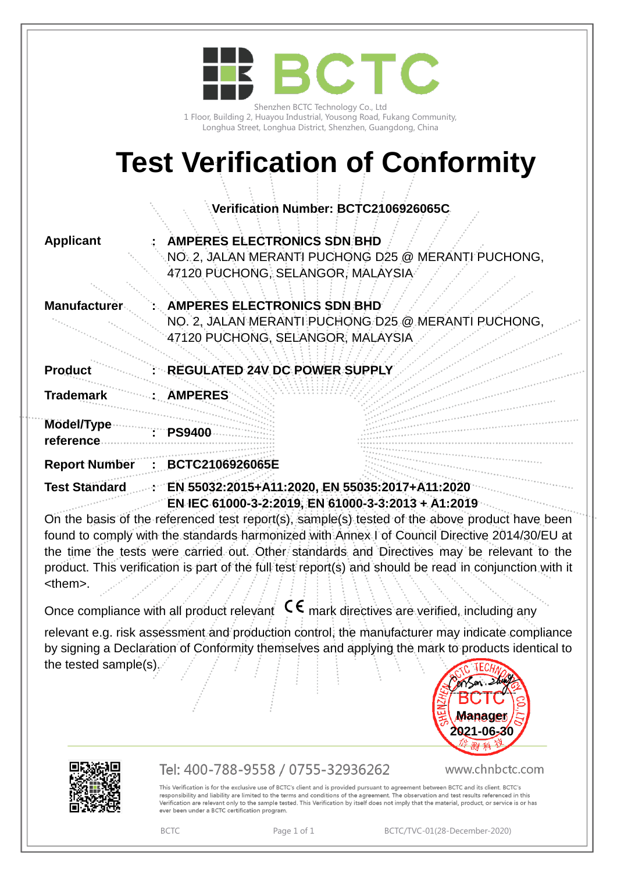|                         | BCTC                                                                                                         |
|-------------------------|--------------------------------------------------------------------------------------------------------------|
|                         |                                                                                                              |
|                         | Shenzhen BCTC Technology Co., Ltd<br>1 Floor, Building 2, Huayou Industrial, Yousong Road, Fukang Community, |
|                         | Longhua Street, Longhua District, Shenzhen, Guangdong, China                                                 |
|                         | <b>Test Verification of Conformity</b>                                                                       |
|                         |                                                                                                              |
|                         | Verification Number: BCTC2106926065C                                                                         |
| <b>Applicant</b>        | <b>AMPERES ELECTRONICS SDN:BHD</b>                                                                           |
|                         | NO. 2, JALAN MERANTI PUCHONG D25 @ MERANTI PUCHONG,<br>47120 PUCHONG, SELANGOR, MALAYSIA                     |
|                         |                                                                                                              |
| <b>Manufacture</b>      | AMPERES ELECTRONICS SDN BHD<br>NO. 2, JALAN MERANTI PUCHONG D25 @ MERANTI PUCHONG                            |
|                         | 47120 PUCHONG, SELANGOR, MALAYSIA                                                                            |
| <b>Product</b>          | REGULATED 24V DC POWER SUPPLY                                                                                |
| <b>Trademark</b>        | <b>ÄMPERES</b>                                                                                               |
| Model/Type<br>reference | <b>PS9400</b>                                                                                                |
| <b>Report Number</b>    | BCTC2106926065E                                                                                              |
| Test Ständard           | EN 55032:2015+A11:2020, EN 55035:2017+A11:2020<br>EN IEC 61000-3-2:2019, EN 61000-3-3:2013 + A1:2019         |
|                         | On the basis of the referenced test report(s), sample(s) tested of the above product have been               |

found to comply with the standards harmonized with Annex I of Council Directive 2014/30/EU at the time the tests were carried out. Other standards and Directives may be relevant to the product. This verification is part of the full test report(s) and should be read in conjunction with it <them>.

Once compliance with all product relevant  $\mathsf{C}\boldsymbol{\epsilon}$  mark directives are verified, including any

relevant e.g. risk assessment and production control, the manufacturer may indicate compliance by signing a Declaration of Conformity themselves and applying the mark to products identical to the tested sample(s).  $\ddot{\phantom{0}}$ 





## Tel: 400-788-9558 / 0755-32936262

www.chnbctc.com

This Verification is for the exclusive use of BCTC's client and is provided pursuant to agreement between BCTC and its client. BCTC's responsibility and liability are limited to the terms and conditions of the agreement. The observation and test results referenced in this<br>Verification are relevant only to the sample tested. This Verification by itself do ever been under a BCTC certification program.

BCTC Page 1 of 1 BCTC/TVC-01(28-December-2020)